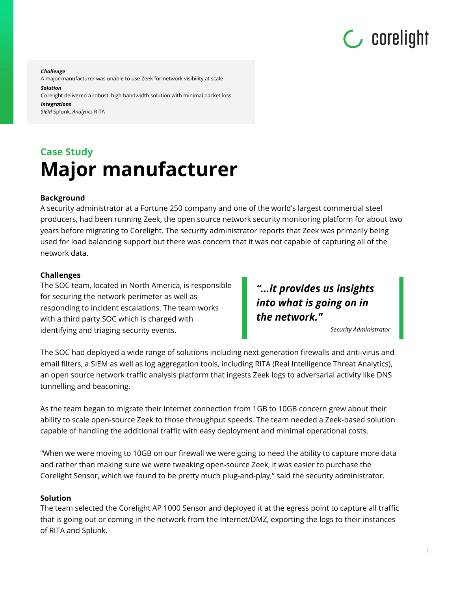

*Challenge* 

A major manufacturer was unable to use Zeek for network visibility at scale

*Solution* 

Corelight delivered a robust, high bandwidth solution with minimal packet loss *Integrations* 

*SIEM* Splunk, *Analytics* RITA

# **Case Study Major manufacturer**

## **Background**

A security administrator at a Fortune 250 company and one of the world's largest commercial steel producers, had been running Zeek, the open source network security monitoring platform for about two years before migrating to Corelight. The security administrator reports that Zeek was primarily being used for load balancing support but there was concern that it was not capable of capturing all of the network data.

### **Challenges**

The SOC team, located in North America, is responsible for securing the network perimeter as well as responding to incident escalations. The team works with a third party SOC which is charged with identifying and triaging security events.

"...it provides us insights into what is going on in the network."

-Security Administrator

The SOC had deployed a wide range of solutions including next generation firewalls and anti-virus and email filters, a SIEM as well as log aggregation tools, including RITA (Real Intelligence Threat Analytics), an open source network traffic analysis platform that ingests Zeek logs to adversarial activity like DNS tunnelling and beaconing.

As the team began to migrate their Internet connection from 1GB to 10GB concern grew about their ability to scale open-source Zeek to those throughput speeds. The team needed a Zeek-based solution capable of handling the additional traffic with easy deployment and minimal operational costs.

"When we were moving to 10GB on our firewall we were going to need the ability to capture more data and rather than making sure we were tweaking open-source Zeek, it was easier to purchase the Corelight Sensor, which we found to be pretty much plug-and-play," said the security administrator.

#### **Solution**

The team selected the Corelight AP 1000 Sensor and deployed it at the egress point to capture all traffic that is going out or coming in the network from the Internet/DMZ, exporting the logs to their instances of RITA and Splunk.